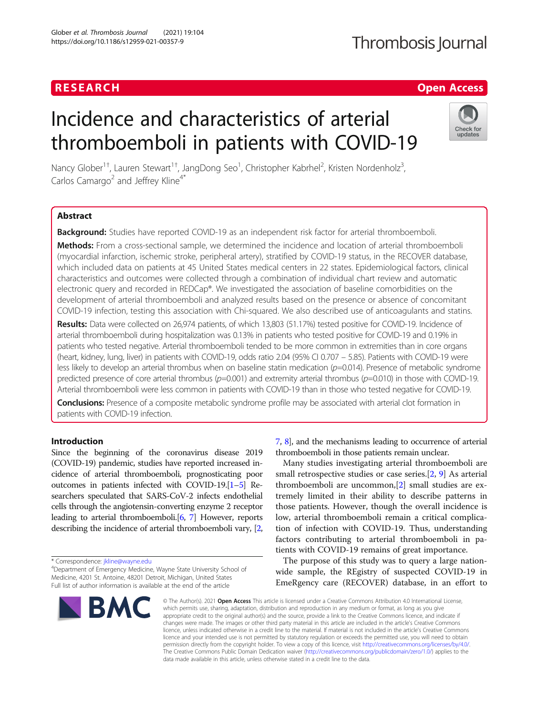### RESEARCH **RESEARCH CHANGE ACCESS**

## Thrombosis Journal

# Incidence and characteristics of arterial thromboemboli in patients with COVID-19



Nancy Glober<sup>1†</sup>, Lauren Stewart<sup>1†</sup>, JangDong Seo<sup>1</sup>, Christopher Kabrhel<sup>2</sup>, Kristen Nordenholz<sup>3</sup> , Carlos Camargo<sup>2</sup> and Jeffrey Kline<sup>4\*</sup>

#### Abstract

Background: Studies have reported COVID-19 as an independent risk factor for arterial thromboemboli.

Methods: From a cross-sectional sample, we determined the incidence and location of arterial thromboemboli (myocardial infarction, ischemic stroke, peripheral artery), stratified by COVID-19 status, in the RECOVER database, which included data on patients at 45 United States medical centers in 22 states. Epidemiological factors, clinical characteristics and outcomes were collected through a combination of individual chart review and automatic electronic query and recorded in REDCap®. We investigated the association of baseline comorbidities on the development of arterial thromboemboli and analyzed results based on the presence or absence of concomitant COVID-19 infection, testing this association with Chi-squared. We also described use of anticoagulants and statins.

Results: Data were collected on 26,974 patients, of which 13,803 (51.17%) tested positive for COVID-19. Incidence of arterial thromboemboli during hospitalization was 0.13% in patients who tested positive for COVID-19 and 0.19% in patients who tested negative. Arterial thromboemboli tended to be more common in extremities than in core organs (heart, kidney, lung, liver) in patients with COVID-19, odds ratio 2.04 (95% CI 0.707 – 5.85). Patients with COVID-19 were less likely to develop an arterial thrombus when on baseline statin medication  $(p=0.014)$ . Presence of metabolic syndrome predicted presence of core arterial thrombus  $(p=0.001)$  and extremity arterial thrombus  $(p=0.010)$  in those with COVID-19. Arterial thromboemboli were less common in patients with COVID-19 than in those who tested negative for COVID-19.

Conclusions: Presence of a composite metabolic syndrome profile may be associated with arterial clot formation in patients with COVID-19 infection.

#### Introduction

Since the beginning of the coronavirus disease 2019 (COVID-19) pandemic, studies have reported increased incidence of arterial thromboemboli, prognosticating poor outcomes in patients infected with COVID-19.[\[1](#page-5-0)–[5](#page-5-0)] Researchers speculated that SARS-CoV-2 infects endothelial cells through the angiotensin-converting enzyme 2 receptor leading to arterial thromboemboli.[[6](#page-5-0), [7](#page-5-0)] However, reports describing the incidence of arterial thromboemboli vary, [[2](#page-5-0),

\* Correspondence: [jkline@wayne.edu](mailto:jkline@wayne.edu) <sup>4</sup>

Department of Emergency Medicine, Wayne State University School of Medicine, 4201 St. Antoine, 48201 Detroit, Michigan, United States Full list of author information is available at the end of the article



[7](#page-5-0), [8](#page-5-0)], and the mechanisms leading to occurrence of arterial thromboemboli in those patients remain unclear.

Many studies investigating arterial thromboemboli are small retrospective studies or case series.[\[2](#page-5-0), [9\]](#page-5-0) As arterial thromboemboli are uncommon,[[2\]](#page-5-0) small studies are extremely limited in their ability to describe patterns in those patients. However, though the overall incidence is low, arterial thromboemboli remain a critical complication of infection with COVID-19. Thus, understanding factors contributing to arterial thromboemboli in patients with COVID-19 remains of great importance.

The purpose of this study was to query a large nationwide sample, the REgistry of suspected COVID-19 in EmeRgency care (RECOVER) database, in an effort to

© The Author(s), 2021 **Open Access** This article is licensed under a Creative Commons Attribution 4.0 International License, which permits use, sharing, adaptation, distribution and reproduction in any medium or format, as long as you give appropriate credit to the original author(s) and the source, provide a link to the Creative Commons licence, and indicate if changes were made. The images or other third party material in this article are included in the article's Creative Commons licence, unless indicated otherwise in a credit line to the material. If material is not included in the article's Creative Commons licence and your intended use is not permitted by statutory regulation or exceeds the permitted use, you will need to obtain permission directly from the copyright holder. To view a copy of this licence, visit [http://creativecommons.org/licenses/by/4.0/.](http://creativecommons.org/licenses/by/4.0/) The Creative Commons Public Domain Dedication waiver [\(http://creativecommons.org/publicdomain/zero/1.0/](http://creativecommons.org/publicdomain/zero/1.0/)) applies to the data made available in this article, unless otherwise stated in a credit line to the data.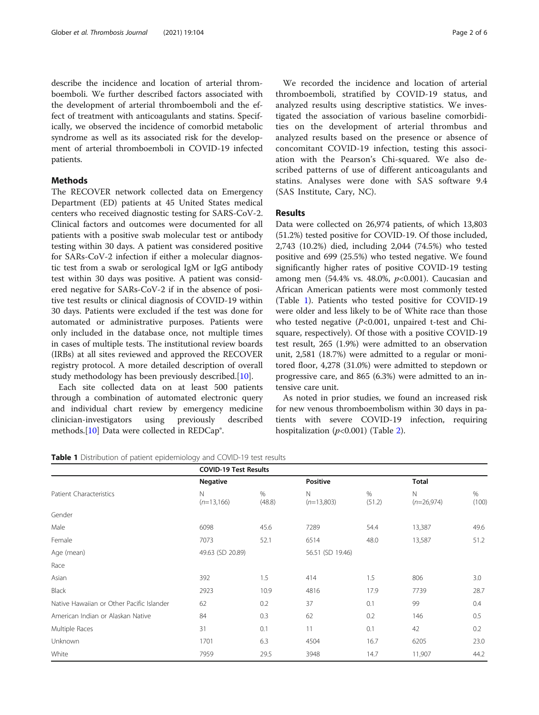describe the incidence and location of arterial thromboemboli. We further described factors associated with the development of arterial thromboemboli and the effect of treatment with anticoagulants and statins. Specifically, we observed the incidence of comorbid metabolic syndrome as well as its associated risk for the development of arterial thromboemboli in COVID-19 infected patients.

#### Methods

The RECOVER network collected data on Emergency Department (ED) patients at 45 United States medical centers who received diagnostic testing for SARS-CoV-2. Clinical factors and outcomes were documented for all patients with a positive swab molecular test or antibody testing within 30 days. A patient was considered positive for SARs-CoV-2 infection if either a molecular diagnostic test from a swab or serological IgM or IgG antibody test within 30 days was positive. A patient was considered negative for SARs-CoV-2 if in the absence of positive test results or clinical diagnosis of COVID-19 within 30 days. Patients were excluded if the test was done for automated or administrative purposes. Patients were only included in the database once, not multiple times in cases of multiple tests. The institutional review boards (IRBs) at all sites reviewed and approved the RECOVER registry protocol. A more detailed description of overall study methodology has been previously described.[[10\]](#page-5-0).

Each site collected data on at least 500 patients through a combination of automated electronic query and individual chart review by emergency medicine clinician-investigators using previously described methods.[\[10\]](#page-5-0) Data were collected in REDCap®.

We recorded the incidence and location of arterial thromboemboli, stratified by COVID-19 status, and analyzed results using descriptive statistics. We investigated the association of various baseline comorbidities on the development of arterial thrombus and analyzed results based on the presence or absence of concomitant COVID-19 infection, testing this association with the Pearson's Chi-squared. We also described patterns of use of different anticoagulants and statins. Analyses were done with SAS software 9.4 (SAS Institute, Cary, NC).

#### Results

Data were collected on 26,974 patients, of which 13,803 (51.2%) tested positive for COVID-19. Of those included, 2,743 (10.2%) died, including 2,044 (74.5%) who tested positive and 699 (25.5%) who tested negative. We found significantly higher rates of positive COVID-19 testing among men  $(54.4\% \text{ vs. } 48.0\%, p<0.001)$ . Caucasian and African American patients were most commonly tested (Table 1). Patients who tested positive for COVID-19 were older and less likely to be of White race than those who tested negative  $(P<0.001$ , unpaired t-test and Chisquare, respectively). Of those with a positive COVID-19 test result, 265 (1.9%) were admitted to an observation unit, 2,581 (18.7%) were admitted to a regular or monitored floor, 4,278 (31.0%) were admitted to stepdown or progressive care, and 865 (6.3%) were admitted to an intensive care unit.

As noted in prior studies, we found an increased risk for new venous thromboembolism within 30 days in patients with severe COVID-19 infection, requiring hospitalization  $(p<0.001)$  (Table [2\)](#page-2-0).

| Table 1 Distribution of patient epidemiology and COVID-19 test results |
|------------------------------------------------------------------------|
|------------------------------------------------------------------------|

|                                           | <b>COVID-19 Test Results</b> |             |                   |             |                             |            |
|-------------------------------------------|------------------------------|-------------|-------------------|-------------|-----------------------------|------------|
|                                           | <b>Negative</b>              |             | <b>Positive</b>   |             | Total                       |            |
| Patient Characteristics                   | $\mathsf{N}$<br>$(n=13,166)$ | %<br>(48.8) | N<br>$(n=13,803)$ | %<br>(51.2) | $\mathbb N$<br>$(n=26,974)$ | %<br>(100) |
| Gender                                    |                              |             |                   |             |                             |            |
| Male                                      | 6098                         | 45.6        | 7289              | 54.4        | 13,387                      | 49.6       |
| Female                                    | 7073                         | 52.1        | 6514              | 48.0        | 13,587                      | 51.2       |
| Age (mean)                                | 49.63 (SD 20.89)             |             | 56.51 (SD 19.46)  |             |                             |            |
| Race                                      |                              |             |                   |             |                             |            |
| Asian                                     | 392                          | 1.5         | 414               | 1.5         | 806                         | 3.0        |
| Black                                     | 2923                         | 10.9        | 4816              | 17.9        | 7739                        | 28.7       |
| Native Hawaiian or Other Pacific Islander | 62                           | 0.2         | 37                | 0.1         | 99                          | 0.4        |
| American Indian or Alaskan Native         | 84                           | 0.3         | 62                | 0.2         | 146                         | 0.5        |
| Multiple Races                            | 31                           | 0.1         | 11                | 0.1         | 42                          | 0.2        |
| Unknown                                   | 1701                         | 6.3         | 4504              | 16.7        | 6205                        | 23.0       |
| White                                     | 7959                         | 29.5        | 3948              | 14.7        | 11,907                      | 44.2       |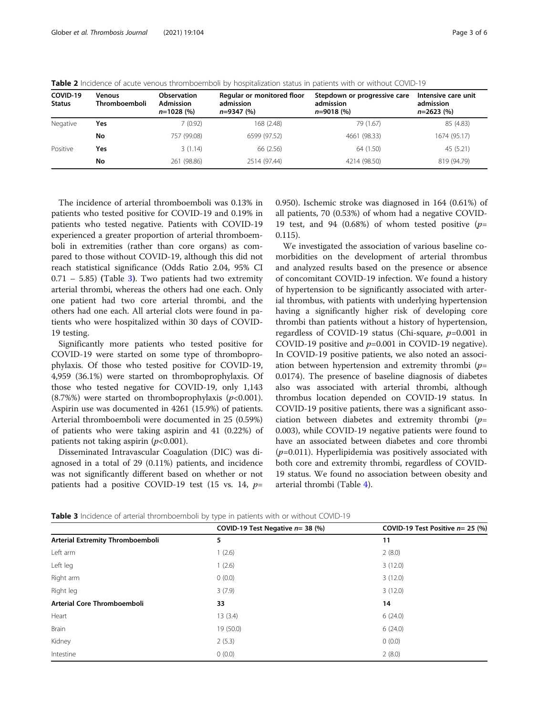| COVID-19<br><b>Status</b> | <b>Venous</b><br>Thromboemboli | <b>Observation</b><br><b>Admission</b><br>$n=1028(%)$ | Regular or monitored floor<br>admission<br>$n=9347(%)$ | Stepdown or progressive care<br>admission<br>$n = 9018(%$ | Intensive care unit<br>admission<br>$n=2623(%)$ |
|---------------------------|--------------------------------|-------------------------------------------------------|--------------------------------------------------------|-----------------------------------------------------------|-------------------------------------------------|
| Negative                  | Yes                            | 7 (0.92)                                              | 168 (2.48)                                             | 79 (1.67)                                                 | 85 (4.83)                                       |
|                           | No                             | 757 (99.08)                                           | 6599 (97.52)                                           | 4661 (98.33)                                              | 1674 (95.17)                                    |
| Positive                  | Yes                            | 3(1.14)                                               | 66 (2.56)                                              | 64 (1.50)                                                 | 45 (5.21)                                       |
|                           | No                             | 261 (98.86)                                           | 2514 (97.44)                                           | 4214 (98.50)                                              | 819 (94.79)                                     |

<span id="page-2-0"></span>Table 2 Incidence of acute venous thromboemboli by hospitalization status in patients with or without COVID-19

The incidence of arterial thromboemboli was 0.13% in patients who tested positive for COVID-19 and 0.19% in patients who tested negative. Patients with COVID-19 experienced a greater proportion of arterial thromboemboli in extremities (rather than core organs) as compared to those without COVID-19, although this did not reach statistical significance (Odds Ratio 2.04, 95% CI  $0.71 - 5.85$ ) (Table 3). Two patients had two extremity arterial thrombi, whereas the others had one each. Only one patient had two core arterial thrombi, and the others had one each. All arterial clots were found in patients who were hospitalized within 30 days of COVID-19 testing.

Significantly more patients who tested positive for COVID-19 were started on some type of thromboprophylaxis. Of those who tested positive for COVID-19, 4,959 (36.1%) were started on thromboprophylaxis. Of those who tested negative for COVID-19, only 1,143  $(8.7\%)$  were started on thromboprophylaxis ( $p<0.001$ ). Aspirin use was documented in 4261 (15.9%) of patients. Arterial thromboemboli were documented in 25 (0.59%) of patients who were taking aspirin and 41 (0.22%) of patients not taking aspirin  $(p<0.001)$ .

Disseminated Intravascular Coagulation (DIC) was diagnosed in a total of 29 (0.11%) patients, and incidence was not significantly different based on whether or not patients had a positive COVID-19 test (15 vs. 14,  $p=$  0.950). Ischemic stroke was diagnosed in 164 (0.61%) of all patients, 70 (0.53%) of whom had a negative COVID-19 test, and 94 (0.68%) of whom tested positive  $(p=$ 0.115).

We investigated the association of various baseline comorbidities on the development of arterial thrombus and analyzed results based on the presence or absence of concomitant COVID-19 infection. We found a history of hypertension to be significantly associated with arterial thrombus, with patients with underlying hypertension having a significantly higher risk of developing core thrombi than patients without a history of hypertension, regardless of COVID-19 status (Chi-square,  $p=0.001$  in COVID-19 positive and  $p=0.001$  in COVID-19 negative). In COVID-19 positive patients, we also noted an association between hypertension and extremity thrombi  $(p=$ 0.0174). The presence of baseline diagnosis of diabetes also was associated with arterial thrombi, although thrombus location depended on COVID-19 status. In COVID-19 positive patients, there was a significant association between diabetes and extremity thrombi  $(p=$ 0.003), while COVID-19 negative patients were found to have an associated between diabetes and core thrombi  $(p=0.011)$ . Hyperlipidemia was positively associated with both core and extremity thrombi, regardless of COVID-19 status. We found no association between obesity and arterial thrombi (Table [4\)](#page-3-0).

|                                  | COVID-19 Test Negative $n=38$ (%) | COVID-19 Test Positive $n=25$ (%) |
|----------------------------------|-----------------------------------|-----------------------------------|
| Arterial Extremity Thromboemboli | 5                                 | 11                                |
| Left arm                         | 1(2.6)                            | 2(8.0)                            |
| Left leg                         | 1(2.6)                            | 3(12.0)                           |
| Right arm                        | 0(0.0)                            | 3(12.0)                           |
| Right leg                        | 3(7.9)                            | 3(12.0)                           |
| Arterial Core Thromboemboli      | 33                                | 14                                |
| Heart                            | 13(3.4)                           | 6(24.0)                           |
| <b>Brain</b>                     | 19 (50.0)                         | 6(24.0)                           |
| Kidney                           | 2(5.3)                            | 0(0.0)                            |
| Intestine                        | 0(0.0)                            | 2(8.0)                            |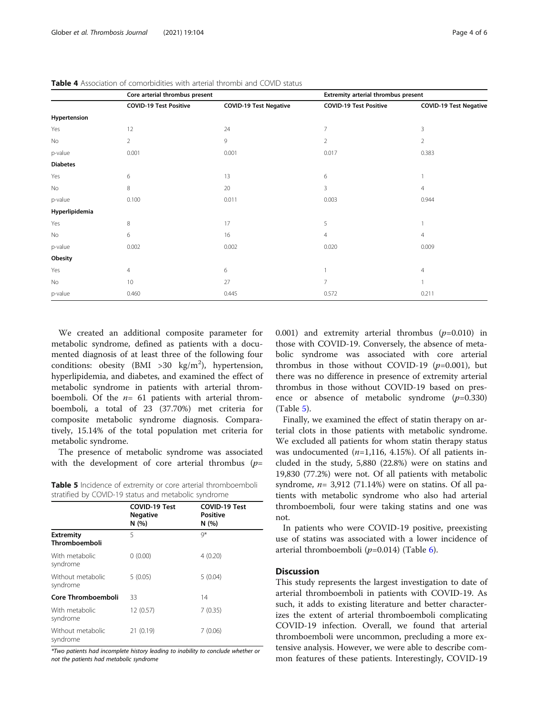|                 | Core arterial thrombus present |                               | Extremity arterial thrombus present |                               |  |
|-----------------|--------------------------------|-------------------------------|-------------------------------------|-------------------------------|--|
|                 | <b>COVID-19 Test Positive</b>  | <b>COVID-19 Test Negative</b> | <b>COVID-19 Test Positive</b>       | <b>COVID-19 Test Negative</b> |  |
| Hypertension    |                                |                               |                                     |                               |  |
| Yes             | 12                             | 24                            | $\overline{7}$                      | 3                             |  |
| No              | $\overline{2}$                 | 9                             | $\overline{2}$                      | $\overline{2}$                |  |
| p-value         | 0.001                          | 0.001                         | 0.017                               | 0.383                         |  |
| <b>Diabetes</b> |                                |                               |                                     |                               |  |
| Yes             | 6                              | 13                            | 6                                   |                               |  |
| No              | 8                              | 20                            | 3                                   | 4                             |  |
| p-value         | 0.100                          | 0.011                         | 0.003                               | 0.944                         |  |
| Hyperlipidemia  |                                |                               |                                     |                               |  |
| Yes             | 8                              | 17                            | 5                                   |                               |  |
| No              | 6                              | 16                            | $\overline{4}$                      | $\overline{4}$                |  |
| p-value         | 0.002                          | 0.002                         | 0.020                               | 0.009                         |  |
| Obesity         |                                |                               |                                     |                               |  |
| Yes             | $\overline{4}$                 | 6                             |                                     | $\overline{4}$                |  |
| No              | 10                             | 27                            | $\overline{7}$                      |                               |  |
| p-value         | 0.460                          | 0.445                         | 0.572                               | 0.211                         |  |

<span id="page-3-0"></span>Table 4 Association of comorbidities with arterial thrombi and COVID status

We created an additional composite parameter for metabolic syndrome, defined as patients with a documented diagnosis of at least three of the following four conditions: obesity (BMI >30  $\text{kg/m}^2$ ), hypertension, hyperlipidemia, and diabetes, and examined the effect of metabolic syndrome in patients with arterial thromboemboli. Of the  $n=$  61 patients with arterial thromboemboli, a total of 23 (37.70%) met criteria for composite metabolic syndrome diagnosis. Comparatively, 15.14% of the total population met criteria for metabolic syndrome.

The presence of metabolic syndrome was associated with the development of core arterial thrombus  $(p=$ 

|  |  | <b>Table 5</b> Incidence of extremity or core arterial thromboemboli |  |
|--|--|----------------------------------------------------------------------|--|
|  |  | stratified by COVID-19 status and metabolic syndrome                 |  |

|                                   | <b>COVID-19 Test</b><br><b>Negative</b><br>N(%) | <b>COVID-19 Test</b><br><b>Positive</b><br>N(%) |
|-----------------------------------|-------------------------------------------------|-------------------------------------------------|
| <b>Extremity</b><br>Thromboemboli | 5                                               | $Q^*$                                           |
| With metabolic<br>syndrome        | 0(0.00)                                         | 4(0.20)                                         |
| Without metabolic<br>syndrome     | 5(0.05)                                         | 5(0.04)                                         |
| Core Thromboemboli                | 33                                              | 14                                              |
| With metabolic<br>syndrome        | 12 (0.57)                                       | 7(0.35)                                         |
| Without metabolic<br>syndrome     | 21(0.19)                                        | 7(0.06)                                         |

\*Two patients had incomplete history leading to inability to conclude whether or not the patients had metabolic syndrome

0.001) and extremity arterial thrombus  $(p=0.010)$  in those with COVID-19. Conversely, the absence of metabolic syndrome was associated with core arterial thrombus in those without COVID-19 ( $p=0.001$ ), but there was no difference in presence of extremity arterial thrombus in those without COVID-19 based on presence or absence of metabolic syndrome  $(p=0.330)$ (Table 5).

Finally, we examined the effect of statin therapy on arterial clots in those patients with metabolic syndrome. We excluded all patients for whom statin therapy status was undocumented  $(n=1,116, 4.15\%)$ . Of all patients included in the study, 5,880 (22.8%) were on statins and 19,830 (77.2%) were not. Of all patients with metabolic syndrome,  $n=$  3,912 (71.14%) were on statins. Of all patients with metabolic syndrome who also had arterial thromboemboli, four were taking statins and one was not.

In patients who were COVID-19 positive, preexisting use of statins was associated with a lower incidence of arterial thromboemboli  $(p=0.014)$  (Table [6\)](#page-4-0).

#### **Discussion**

This study represents the largest investigation to date of arterial thromboemboli in patients with COVID-19. As such, it adds to existing literature and better characterizes the extent of arterial thromboemboli complicating COVID-19 infection. Overall, we found that arterial thromboemboli were uncommon, precluding a more extensive analysis. However, we were able to describe common features of these patients. Interestingly, COVID-19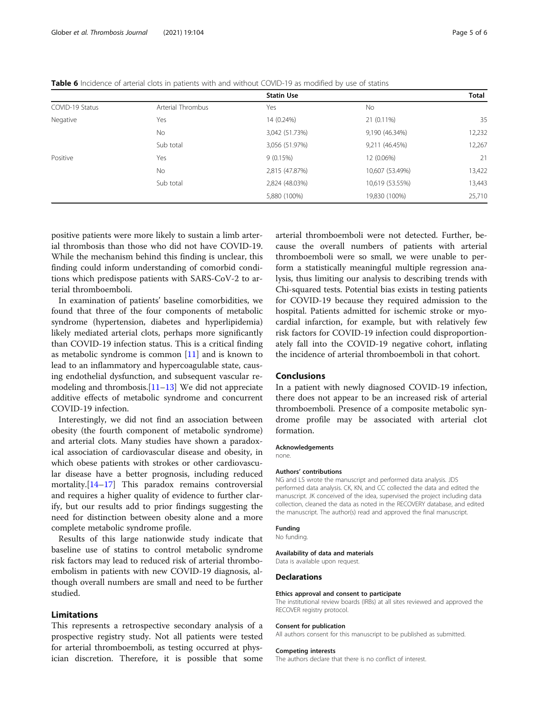<span id="page-4-0"></span>

|  |  |  |  | Table 6 Incidence of arterial clots in patients with and without COVID-19 as modified by use of statins |  |
|--|--|--|--|---------------------------------------------------------------------------------------------------------|--|
|  |  |  |  |                                                                                                         |  |

|                 |                   | <b>Statin Use</b> |                 | Total  |
|-----------------|-------------------|-------------------|-----------------|--------|
| COVID-19 Status | Arterial Thrombus | Yes               | No              |        |
| Negative        | Yes               | 14 (0.24%)        | 21 (0.11%)      | 35     |
|                 | <b>No</b>         | 3,042 (51.73%)    | 9,190 (46.34%)  | 12,232 |
|                 | Sub total         | 3,056 (51.97%)    | 9,211 (46.45%)  | 12,267 |
| Positive        | Yes               | 9(0.15%)          | 12 (0.06%)      | 21     |
|                 | <b>No</b>         | 2,815 (47.87%)    | 10,607 (53.49%) | 13,422 |
|                 | Sub total         | 2,824 (48.03%)    | 10,619 (53.55%) | 13,443 |
|                 |                   | 5,880 (100%)      | 19,830 (100%)   | 25,710 |

positive patients were more likely to sustain a limb arterial thrombosis than those who did not have COVID-19. While the mechanism behind this finding is unclear, this finding could inform understanding of comorbid conditions which predispose patients with SARS-CoV-2 to arterial thromboemboli.

In examination of patients' baseline comorbidities, we found that three of the four components of metabolic syndrome (hypertension, diabetes and hyperlipidemia) likely mediated arterial clots, perhaps more significantly than COVID-19 infection status. This is a critical finding as metabolic syndrome is common [\[11\]](#page-5-0) and is known to lead to an inflammatory and hypercoagulable state, causing endothelial dysfunction, and subsequent vascular remodeling and thrombosis. $[11-13]$  $[11-13]$  $[11-13]$  $[11-13]$  We did not appreciate additive effects of metabolic syndrome and concurrent COVID-19 infection.

Interestingly, we did not find an association between obesity (the fourth component of metabolic syndrome) and arterial clots. Many studies have shown a paradoxical association of cardiovascular disease and obesity, in which obese patients with strokes or other cardiovascular disease have a better prognosis, including reduced mortality.[\[14](#page-5-0)–[17\]](#page-5-0) This paradox remains controversial and requires a higher quality of evidence to further clarify, but our results add to prior findings suggesting the need for distinction between obesity alone and a more complete metabolic syndrome profile.

Results of this large nationwide study indicate that baseline use of statins to control metabolic syndrome risk factors may lead to reduced risk of arterial thromboembolism in patients with new COVID-19 diagnosis, although overall numbers are small and need to be further studied.

#### Limitations

This represents a retrospective secondary analysis of a prospective registry study. Not all patients were tested for arterial thromboemboli, as testing occurred at physician discretion. Therefore, it is possible that some

arterial thromboemboli were not detected. Further, because the overall numbers of patients with arterial thromboemboli were so small, we were unable to perform a statistically meaningful multiple regression analysis, thus limiting our analysis to describing trends with Chi-squared tests. Potential bias exists in testing patients for COVID-19 because they required admission to the hospital. Patients admitted for ischemic stroke or myocardial infarction, for example, but with relatively few risk factors for COVID-19 infection could disproportionately fall into the COVID-19 negative cohort, inflating the incidence of arterial thromboemboli in that cohort.

#### Conclusions

In a patient with newly diagnosed COVID-19 infection, there does not appear to be an increased risk of arterial thromboemboli. Presence of a composite metabolic syndrome profile may be associated with arterial clot formation.

#### Acknowledgements

none.

#### Authors' contributions

NG and LS wrote the manuscript and performed data analysis. JDS performed data analysis. CK, KN, and CC collected the data and edited the manuscript. JK conceived of the idea, supervised the project including data collection, cleaned the data as noted in the RECOVERY database, and edited the manuscript. The author(s) read and approved the final manuscript.

#### Funding

No funding.

#### Availability of data and materials

Data is available upon request.

#### **Declarations**

#### Ethics approval and consent to participate

The institutional review boards (IRBs) at all sites reviewed and approved the RECOVER registry protocol.

#### Consent for publication

All authors consent for this manuscript to be published as submitted.

#### Competing interests

The authors declare that there is no conflict of interest.